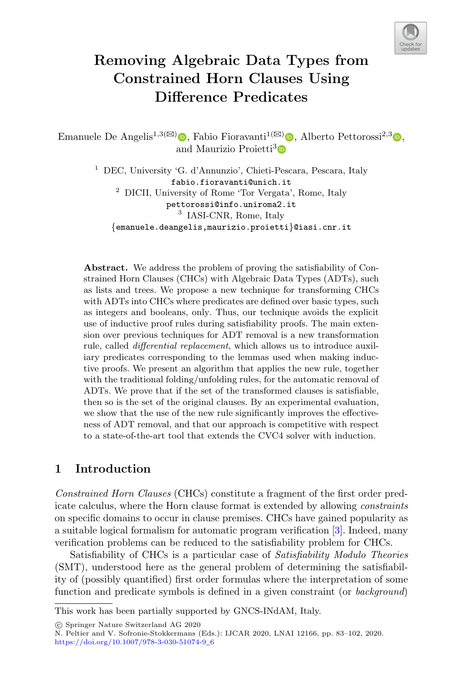

# **Removing Algebraic Data Types from Constrained Horn Clauses Using Difference Predicates**

Emanuele De Angelis<sup>1[,](http://orcid.org/0000-0001-7858-4032)3( $\boxtimes$ )</sup>  $\bullet$ , Fabio Fioravanti<sup>1( $\boxtimes$ </sup>) $\bullet$ , Alberto Pettorossi<sup>2,3</sup> $\bullet$ , and Maurizio Projetti<sup>3</sup>

> <sup>1</sup> DEC, University 'G. d'Annunzio', Chieti-Pescara, Pescara, Italy fabio.fioravanti@unich.it <sup>2</sup> DICII, University of Rome 'Tor Vergata', Rome, Italy pettorossi@info.uniroma2.it <sup>3</sup> IASI-CNR, Rome, Italy {emanuele.deangelis,maurizio.proietti}@iasi.cnr.it

**Abstract.** We address the problem of proving the satisfiability of Constrained Horn Clauses (CHCs) with Algebraic Data Types (ADTs), such as lists and trees. We propose a new technique for transforming CHCs with ADTs into CHCs where predicates are defined over basic types, such as integers and booleans, only. Thus, our technique avoids the explicit use of inductive proof rules during satisfiability proofs. The main extension over previous techniques for ADT removal is a new transformation rule, called *differential replacement*, which allows us to introduce auxiliary predicates corresponding to the lemmas used when making inductive proofs. We present an algorithm that applies the new rule, together with the traditional folding/unfolding rules, for the automatic removal of ADTs. We prove that if the set of the transformed clauses is satisfiable, then so is the set of the original clauses. By an experimental evaluation, we show that the use of the new rule significantly improves the effectiveness of ADT removal, and that our approach is competitive with respect to a state-of-the-art tool that extends the CVC4 solver with induction.

# **1 Introduction**

*Constrained Horn Clauses* (CHCs) constitute a fragment of the first order predicate calculus, where the Horn clause format is extended by allowing *constraints* on specific domains to occur in clause premises. CHCs have gained popularity as a suitable logical formalism for automatic program verification [\[3\]](#page-17-0). Indeed, many verification problems can be reduced to the satisfiability problem for CHCs.

Satisfiability of CHCs is a particular case of *Satisfiability Modulo Theories* (SMT), understood here as the general problem of determining the satisfiability of (possibly quantified) first order formulas where the interpretation of some function and predicate symbols is defined in a given constraint (or *background*)

This work has been partially supported by GNCS-INdAM, Italy.

<sup>-</sup>c Springer Nature Switzerland AG 2020

N. Peltier and V. Sofronie-Stokkermans (Eds.): IJCAR 2020, LNAI 12166, pp. 83–102, 2020. [https://doi.org/10.1007/978-3-030-51074-9](https://doi.org/10.1007/978-3-030-51074-9_6)\_6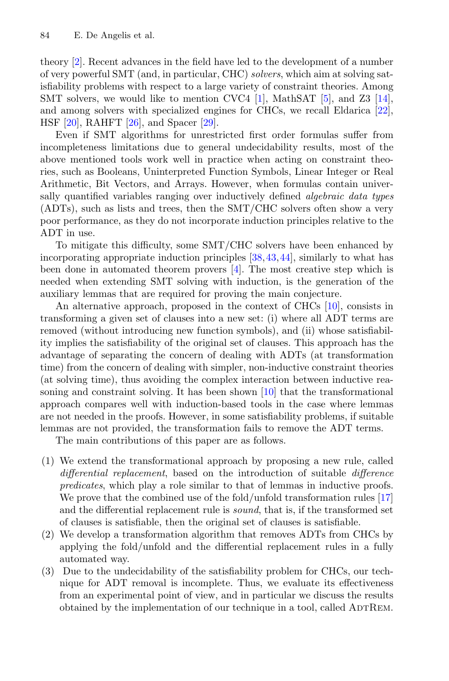theory [\[2](#page-16-0)]. Recent advances in the field have led to the development of a number of very powerful SMT (and, in particular, CHC) *solvers*, which aim at solving satisfiability problems with respect to a large variety of constraint theories. Among SMT solvers, we would like to mention CVC4 [\[1](#page-16-1)], MathSAT [\[5\]](#page-17-1), and Z3 [\[14\]](#page-17-2), and among solvers with specialized engines for CHCs, we recall Eldarica [\[22\]](#page-18-0), HSF [\[20\]](#page-18-1), RAHFT [\[26\]](#page-18-2), and Spacer [\[29\]](#page-18-3).

Even if SMT algorithms for unrestricted first order formulas suffer from incompleteness limitations due to general undecidability results, most of the above mentioned tools work well in practice when acting on constraint theories, such as Booleans, Uninterpreted Function Symbols, Linear Integer or Real Arithmetic, Bit Vectors, and Arrays. However, when formulas contain universally quantified variables ranging over inductively defined *algebraic data types* (ADTs), such as lists and trees, then the SMT/CHC solvers often show a very poor performance, as they do not incorporate induction principles relative to the ADT in use.

To mitigate this difficulty, some SMT/CHC solvers have been enhanced by incorporating appropriate induction principles [\[38,](#page-19-0)[43](#page-19-1)[,44](#page-19-2)], similarly to what has been done in automated theorem provers [\[4\]](#page-17-3). The most creative step which is needed when extending SMT solving with induction, is the generation of the auxiliary lemmas that are required for proving the main conjecture.

An alternative approach, proposed in the context of CHCs [\[10](#page-17-4)], consists in transforming a given set of clauses into a new set: (i) where all ADT terms are removed (without introducing new function symbols), and (ii) whose satisfiability implies the satisfiability of the original set of clauses. This approach has the advantage of separating the concern of dealing with ADTs (at transformation time) from the concern of dealing with simpler, non-inductive constraint theories (at solving time), thus avoiding the complex interaction between inductive reasoning and constraint solving. It has been shown [\[10](#page-17-4)] that the transformational approach compares well with induction-based tools in the case where lemmas are not needed in the proofs. However, in some satisfiability problems, if suitable lemmas are not provided, the transformation fails to remove the ADT terms.

The main contributions of this paper are as follows.

- (1) We extend the transformational approach by proposing a new rule, called *differential replacement*, based on the introduction of suitable *difference predicates*, which play a role similar to that of lemmas in inductive proofs. We prove that the combined use of the fold/unfold transformation rules [\[17](#page-18-4)] and the differential replacement rule is *sound*, that is, if the transformed set of clauses is satisfiable, then the original set of clauses is satisfiable.
- (2) We develop a transformation algorithm that removes ADTs from CHCs by applying the fold/unfold and the differential replacement rules in a fully automated way.
- (3) Due to the undecidability of the satisfiability problem for CHCs, our technique for ADT removal is incomplete. Thus, we evaluate its effectiveness from an experimental point of view, and in particular we discuss the results obtained by the implementation of our technique in a tool, called ADTREM.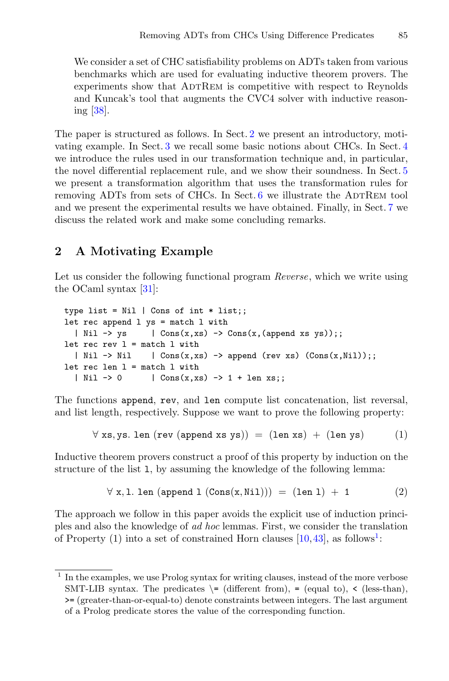We consider a set of CHC satisfiability problems on ADTs taken from various benchmarks which are used for evaluating inductive theorem provers. The experiments show that ADTREM is competitive with respect to Reynolds and Kuncak's tool that augments the CVC4 solver with inductive reasoning [\[38\]](#page-19-0).

The paper is structured as follows. In Sect. [2](#page-2-0) we present an introductory, motivating example. In Sect. [3](#page-4-0) we recall some basic notions about CHCs. In Sect. [4](#page-6-0) we introduce the rules used in our transformation technique and, in particular, the novel differential replacement rule, and we show their soundness. In Sect. [5](#page-8-0) we present a transformation algorithm that uses the transformation rules for removing ADTs from sets of CHCs. In Sect. [6](#page-13-0) we illustrate the ADTREM tool and we present the experimental results we have obtained. Finally, in Sect. [7](#page-15-0) we discuss the related work and make some concluding remarks.

# <span id="page-2-0"></span>**2 A Motivating Example**

Let us consider the following functional program *Reverse*, which we write using the OCaml syntax [\[31\]](#page-18-5):

```
type list = Nil | Cons of int * list;;
let rec append l ys = match l with
  | Nil \rightarrow ys | Cons(x,xs) \rightarrow Cons(x,(append xs ys));;
let rec rev l = match l with
  | Nil \rightarrow Nil | Cons(x,xs) \rightarrow append (rev xs) (Cons(x,Nil));;
let rec len l = match l with
  | Nil -> 0 | Cons(x, xs) -> 1 + len xs;;
```
The functions append, rev, and len compute list concatenation, list reversal, and list length, respectively. Suppose we want to prove the following property:

$$
\forall\; \texttt{xs}, \texttt{ys}.\; \texttt{len}\;(\texttt{rev}\;(\texttt{append}\; \texttt{xs}\; \texttt{ys}))\;=\;(\texttt{len}\; \texttt{xs})\;+\;(\texttt{len}\; \texttt{ys}) \qquad \quad (1)
$$

Inductive theorem provers construct a proof of this property by induction on the structure of the list l, by assuming the knowledge of the following lemma:

$$
\forall \ x, 1. \ \texttt{len} \ (\texttt{append} \ 1 \ (\texttt{Cons}(x,\texttt{Nil}))) \ = \ (\texttt{len} \ 1) \ + \ 1 \tag{2}
$$

The approach we follow in this paper avoids the explicit use of induction principles and also the knowledge of *ad hoc* lemmas. First, we consider the translation of Property ([1](#page-2-1)) into a set of constrained Horn clauses  $[10, 43]$  $[10, 43]$  $[10, 43]$ , as follows<sup>1</sup>:

<span id="page-2-1"></span><sup>&</sup>lt;sup>1</sup> In the examples, we use Prolog syntax for writing clauses, instead of the more verbose SMT-LIB syntax. The predicates  $\equiv$  (different from), = (equal to), < (less-than), >= (greater-than-or-equal-to) denote constraints between integers. The last argument of a Prolog predicate stores the value of the corresponding function.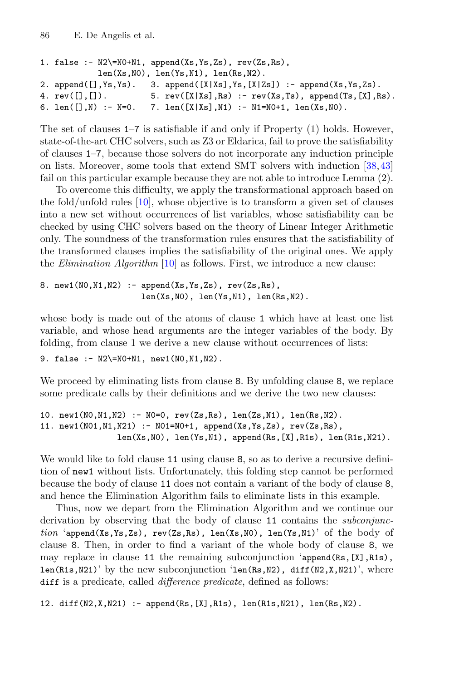```
1. false :- N2\=N0+N1, append(Xs,Ys,Zs), rev(Zs,Rs),
           len(Xs,N0), len(Ys,N1), len(Rs,N2).
2. append([],Ys,Ys). 3. append([X|Xs],Ys,[X|Zs]) :- append(Xs,Ys,Zs).
4. rev([], []). 5. rev([X|Xs], Rs) :- rev(Xs, Ts), append(Ts,[X], Rs).
6. len([1,N) :- N=0. 7. len([X|Xs],N1) :- N1=N0+1, len(Xs,N0).
```
The set of clauses 1–7 is satisfiable if and only if Property (1) holds. However, state-of-the-art CHC solvers, such as Z3 or Eldarica, fail to prove the satisfiability of clauses 1–7, because those solvers do not incorporate any induction principle on lists. Moreover, some tools that extend SMT solvers with induction [\[38](#page-19-0)[,43](#page-19-1)] fail on this particular example because they are not able to introduce Lemma (2).

To overcome this difficulty, we apply the transformational approach based on the fold/unfold rules [\[10](#page-17-4)], whose objective is to transform a given set of clauses into a new set without occurrences of list variables, whose satisfiability can be checked by using CHC solvers based on the theory of Linear Integer Arithmetic only. The soundness of the transformation rules ensures that the satisfiability of the transformed clauses implies the satisfiability of the original ones. We apply the *Elimination Algorithm* [\[10\]](#page-17-4) as follows. First, we introduce a new clause:

```
8. new1(NO, N1, N2) :- append(Xs, Ys, Zs), rev(Zs, Rs),
                      len(Xs,N0), len(Ys,N1), len(Rs,N2).
```
whose body is made out of the atoms of clause 1 which have at least one list variable, and whose head arguments are the integer variables of the body. By folding, from clause 1 we derive a new clause without occurrences of lists:

9. false :- N2\=N0+N1, new1(N0,N1,N2).

We proceed by eliminating lists from clause 8. By unfolding clause 8, we replace some predicate calls by their definitions and we derive the two new clauses:

```
10. new1(N0,N1,N2) :- N0=0, rev(Zs,Rs), len(Zs,N1), len(Rs,N2).
11. new1(N01,N1,N21) :- N01=N0+1, append(Xs,Ys,Zs), rev(Zs,Rs),
                len(Xs,N0), len(Ys,N1), append(Rs,[X],R1s), len(R1s,N21).
```
We would like to fold clause 11 using clause 8, so as to derive a recursive definition of new1 without lists. Unfortunately, this folding step cannot be performed because the body of clause 11 does not contain a variant of the body of clause 8, and hence the Elimination Algorithm fails to eliminate lists in this example.

Thus, now we depart from the Elimination Algorithm and we continue our derivation by observing that the body of clause 11 contains the *subconjunction* 'append(Xs,Ys,Zs), rev(Zs,Rs), len(Xs,N0), len(Ys,N1)' of the body of clause 8. Then, in order to find a variant of the whole body of clause 8, we may replace in clause 11 the remaining subconjunction 'append(Rs,[X],R1s), len(R1s,N21)' by the new subconjunction 'len(Rs,N2), diff(N2,X,N21)', where diff is a predicate, called *difference predicate*, defined as follows:

12. diff(N2,X,N21) :- append(Rs,[X],R1s), len(R1s,N21), len(Rs,N2).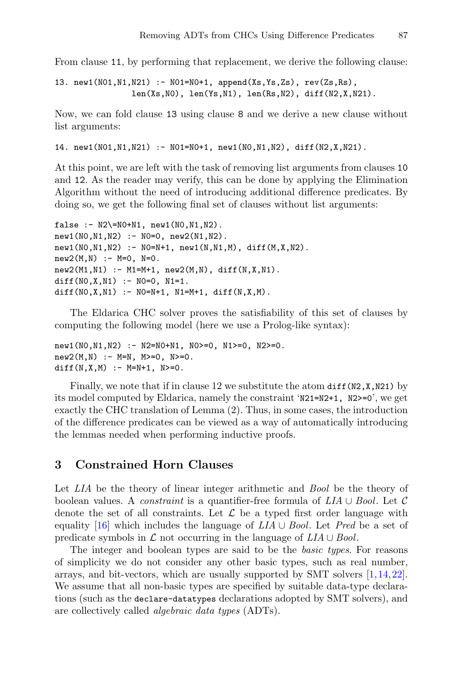From clause 11, by performing that replacement, we derive the following clause:

```
13. new1(N01,N1,N21) :- N01=N0+1, append(Xs,Ys,Zs), rev(Zs,Rs),
                len(Xs,N0), len(Ys,N1), len(Rs,N2), diff(N2,X,N21).
```
Now, we can fold clause 13 using clause 8 and we derive a new clause without list arguments:

14. new1(N01,N1,N21) :- N01=N0+1, new1(N0,N1,N2), diff(N2,X,N21).

At this point, we are left with the task of removing list arguments from clauses 10 and 12. As the reader may verify, this can be done by applying the Elimination Algorithm without the need of introducing additional difference predicates. By doing so, we get the following final set of clauses without list arguments:

```
false :- N2\=N0+N1, new1(N0,N1,N2).
new1(NO, N1, N2) :- NO=0, new2(N1, N2).
new1(N0,N1,N2) :- NO=N+1, new1(N,N1,M), diff(M,X,N2).
new2(M,N) :- M=0, N=0.
new2(M1, N1) : - M1=M+1, new2(M, N), diff(N,X,N1).
diff(N0, X, N1) :- N0=0, N1=1.
diff(NO,X,N1) :- NO=N+1, N1=M+1, diff(N,X,M).
```
The Eldarica CHC solver proves the satisfiability of this set of clauses by computing the following model (here we use a Prolog-like syntax):

```
new1(NO, N1, N2) :- N2=NO+N1, NO>=0, N1>=0, N2>=0.
new2(M,N) :- M=N, M>=0, N>=0.
diff(N,X,M) :- M=N+1, N>=0.
```
Finally, we note that if in clause 12 we substitute the atom  $diff(N2, X, N21)$  by its model computed by Eldarica, namely the constraint 'N21=N2+1, N2>=0', we get exactly the CHC translation of Lemma (2). Thus, in some cases, the introduction of the difference predicates can be viewed as a way of automatically introducing the lemmas needed when performing inductive proofs.

### <span id="page-4-0"></span>**3 Constrained Horn Clauses**

Let *LIA* be the theory of linear integer arithmetic and *Bool* be the theory of boolean values. A *constraint* is a quantifier-free formula of *LIA* ∪ *Bool*. Let C denote the set of all constraints. Let  $\mathcal L$  be a typed first order language with equality [\[16](#page-17-5)] which includes the language of *LIA* ∪ *Bool*. Let *Pred* be a set of predicate symbols in  $\mathcal L$  not occurring in the language of  $LIA \cup Bool$ .

The integer and boolean types are said to be the *basic types*. For reasons of simplicity we do not consider any other basic types, such as real number, arrays, and bit-vectors, which are usually supported by SMT solvers  $[1,14,22]$  $[1,14,22]$  $[1,14,22]$  $[1,14,22]$ . We assume that all non-basic types are specified by suitable data-type declarations (such as the declare-datatypes declarations adopted by SMT solvers), and are collectively called *algebraic data types* (ADTs).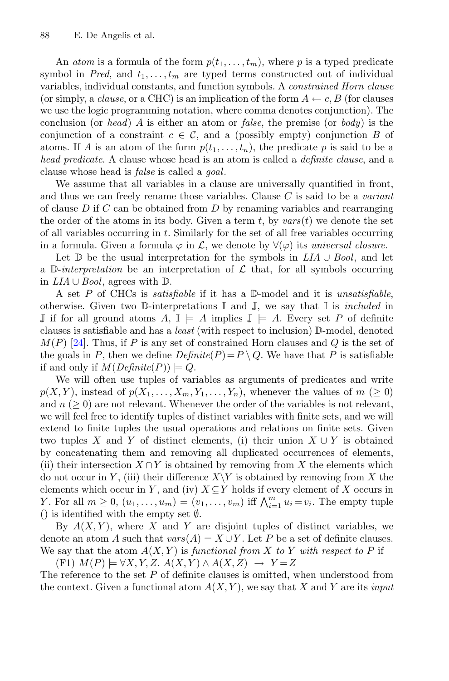An *atom* is a formula of the form  $p(t_1,...,t_m)$ , where p is a typed predicate symbol in *Pred*, and  $t_1, \ldots, t_m$  are typed terms constructed out of individual variables, individual constants, and function symbols. A *constrained Horn clause* (or simply, a *clause*, or a CHC) is an implication of the form  $A \leftarrow c, B$  (for clauses we use the logic programming notation, where comma denotes conjunction). The conclusion (or *head*) A is either an atom or *false*, the premise (or *body*) is the conjunction of a constraint  $c \in \mathcal{C}$ , and a (possibly empty) conjunction B of atoms. If A is an atom of the form  $p(t_1,\ldots,t_n)$ , the predicate p is said to be a *head predicate*. A clause whose head is an atom is called a *definite clause*, and a clause whose head is *false* is called a *goal*.

We assume that all variables in a clause are universally quantified in front, and thus we can freely rename those variables. Clause C is said to be a *variant* of clause  $D$  if  $C$  can be obtained from  $D$  by renaming variables and rearranging the order of the atoms in its body. Given a term  $t$ , by  $vars(t)$  we denote the set of all variables occurring in  $t$ . Similarly for the set of all free variables occurring in a formula. Given a formula  $\varphi$  in  $\mathcal{L}$ , we denote by  $\forall (\varphi)$  its *universal closure*.

Let  $\mathbb D$  be the usual interpretation for the symbols in  $LIA \cup Bool$ , and let a D-*interpretation* be an interpretation of  $\mathcal L$  that, for all symbols occurring in *LIA* <sup>∪</sup> *Bool*, agrees with <sup>D</sup>.

A set P of CHCs is *satisfiable* if it has a D-model and it is *unsatisfiable*, otherwise. Given two D-interpretations I and J, we say that I is *included* in  $\mathbb J$  if for all ground atoms  $A, \mathbb I \models A$  implies  $\mathbb J \models A$ . Every set P of definite clauses is satisfiable and has a *least* (with respect to inclusion) D-model, denoted  $M(P)$  [\[24\]](#page-18-6). Thus, if P is any set of constrained Horn clauses and Q is the set of the goals in P, then we define  $Definite(P) = P \setminus Q$ . We have that P is satisfiable if and only if  $M(Definite(P)) \models Q$ .

We will often use tuples of variables as arguments of predicates and write  $p(X, Y)$ , instead of  $p(X_1, \ldots, X_m, Y_1, \ldots, Y_n)$ , whenever the values of  $m \ (\geq 0)$ and  $n \geq 0$  are not relevant. Whenever the order of the variables is not relevant, we will feel free to identify tuples of distinct variables with finite sets, and we will extend to finite tuples the usual operations and relations on finite sets. Given two tuples X and Y of distinct elements, (i) their union  $X \cup Y$  is obtained by concatenating them and removing all duplicated occurrences of elements, (ii) their intersection  $X \cap Y$  is obtained by removing from X the elements which do not occur in Y, (iii) their difference  $X\Y$  is obtained by removing from X the elements which occur in Y, and (iv)  $X \subseteq Y$  holds if every element of X occurs in Y. For all  $m \geq 0$ ,  $(u_1, \ldots, u_m) = (v_1, \ldots, v_m)$  iff  $\bigwedge_{i=1}^m u_i = v_i$ . The empty tuple () is identified with the empty set ∅.

By  $A(X, Y)$ , where X and Y are disjoint tuples of distinct variables, we denote an atom A such that  $vars(A) = X \cup Y$ . Let P be a set of definite clauses. We say that the atom  $A(X, Y)$  is *functional from* X to Y with respect to P if

 $(F1)$   $M(P) \models \forall X, Y, Z$ .  $A(X, Y) \land A(X, Z) \rightarrow Y = Z$ The reference to the set  $P$  of definite clauses is omitted, when understood from the context. Given a functional atom  $A(X, Y)$ , we say that X and Y are its *input*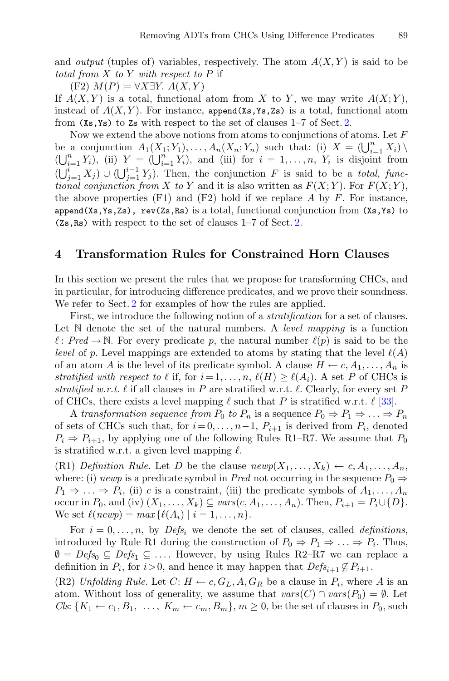and *output* (tuples of) variables, respectively. The atom  $A(X, Y)$  is said to be *total from* X *to* Y *with respect to* P if

 $(F2)$   $M(P) \models \forall X \exists Y$ .  $A(X, Y)$ 

If  $A(X, Y)$  is a total, functional atom from X to Y, we may write  $A(X; Y)$ , instead of  $A(X, Y)$ . For instance, append(Xs,Ys,Zs) is a total, functional atom from  $(Xs, Ys)$  to Zs with respect to the set of clauses 1–7 of Sect. [2.](#page-2-0)

Now we extend the above notions from atoms to conjunctions of atoms. Let  $F$ be a conjunction  $A_1(X_1; Y_1), \ldots, A_n(X_n; Y_n)$  such that: (i)  $X = (\bigcup_{i=1}^n X_i) \setminus$  $(\bigcup_{i=1}^n Y_i)$ , (ii)  $Y = (\bigcup_{i=1}^n Y_i)$ , and (iii) for  $i = 1, \ldots, n$ ,  $Y_i$  is disjoint from  $(\bigcup_{j=1}^{i} X_j) \cup (\bigcup_{j=1}^{i-1} Y_j)$ . Then, the conjunction *F* is said to be a *total, functional conjunction from* X *to* Y and it is also written as  $F(X; Y)$ . For  $F(X; Y)$ , the above properties  $(F1)$  and  $(F2)$  hold if we replace A by F. For instance, append(Xs,Ys,Zs), rev(Zs,Rs) is a total, functional conjunction from  $(Xs,Ys)$  to  $(2s, Rs)$  with respect to the set of clauses  $1-7$  of Sect. [2.](#page-2-0)

#### <span id="page-6-0"></span>**4 Transformation Rules for Constrained Horn Clauses**

In this section we present the rules that we propose for transforming CHCs, and in particular, for introducing difference predicates, and we prove their soundness. We refer to Sect. [2](#page-2-0) for examples of how the rules are applied.

First, we introduce the following notion of a *stratification* for a set of clauses. Let N denote the set of the natural numbers. A *level mapping* is a function  $\ell: Pred \to \mathbb{N}$ . For every predicate p, the natural number  $\ell(p)$  is said to be the *level* of p. Level mappings are extended to atoms by stating that the level  $\ell(A)$ of an atom A is the level of its predicate symbol. A clause  $H \leftarrow c, A_1, \ldots, A_n$  is *stratified with respect to*  $\ell$  if, for  $i = 1, \ldots, n$ ,  $\ell(H) \geq \ell(A_i)$ . A set P of CHCs is *stratified w.r.t.*  $\ell$  if all clauses in P are stratified w.r.t.  $\ell$ . Clearly, for every set P of CHCs, there exists a level mapping  $\ell$  such that P is stratified w.r.t.  $\ell$  [\[33](#page-18-7)].

A *transformation sequence from*  $P_0$  *to*  $P_n$  is a sequence  $P_0 \Rightarrow P_1 \Rightarrow \dots \Rightarrow P_n$ of sets of CHCs such that, for  $i=0,\ldots,n-1$ ,  $P_{i+1}$  is derived from  $P_i$ , denoted  $P_i \Rightarrow P_{i+1}$ , by applying one of the following Rules R1–R7. We assume that  $P_0$ is stratified w.r.t. a given level mapping  $\ell$ .

(R1) *Definition Rule.* Let D be the clause  $newp(X_1,...,X_k) \leftarrow c, A_1,...,A_n$ , where: (i) *newp* is a predicate symbol in *Pred* not occurring in the sequence  $P_0 \Rightarrow$  $P_1 \Rightarrow \ldots \Rightarrow P_i$ , (ii) c is a constraint, (iii) the predicate symbols of  $A_1, \ldots, A_n$ occur in  $P_0$ , and (iv)  $(X_1, ..., X_k) \subseteq vars(c, A_1, ..., A_n)$ . Then,  $P_{i+1} = P_i \cup \{D\}$ . We set  $\ell(newp) = max\{\ell(A_i) | i = 1, ..., n\}.$ 

For  $i = 0, \ldots, n$ , by *Defs<sub>i</sub>* we denote the set of clauses, called *definitions*, introduced by Rule R1 during the construction of  $P_0 \Rightarrow P_1 \Rightarrow \dots \Rightarrow P_i$ . Thus,  $\emptyset = Defs_0 \subseteq Defs_1 \subseteq \ldots$  However, by using Rules R2–R7 we can replace a definition in  $P_i$ , for  $i>0$ , and hence it may happen that  $Defs_{i+1} \nsubseteq P_{i+1}$ .

(R2) *Unfolding Rule.* Let  $C: H \leftarrow c, G_L, A, G_R$  be a clause in  $P_i$ , where A is an atom. Without loss of generality, we assume that  $vars(C) \cap vars(P_0) = \emptyset$ . Let *Cls*:  $\{K_1 \leftarrow c_1, B_1, \ldots, K_m \leftarrow c_m, B_m\}, m \geq 0$ , be the set of clauses in  $P_0$ , such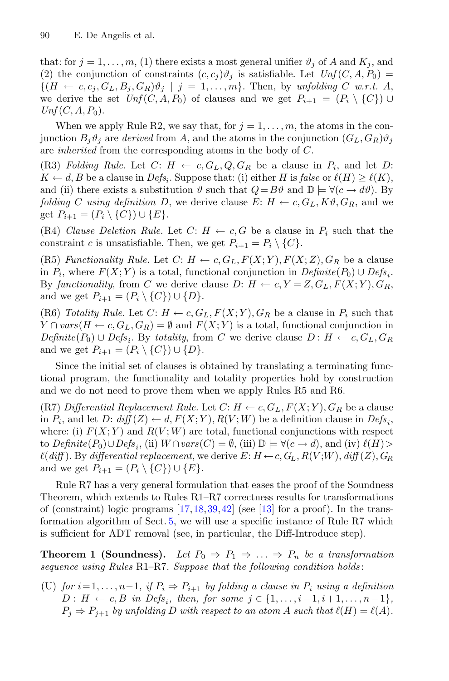that: for  $j = 1, \ldots, m$ , (1) there exists a most general unifier  $\vartheta_j$  of A and  $K_j$ , and (2) the conjunction of constraints  $(c, c_i)\vartheta_i$  is satisfiable. Let  $\text{Unf}(C, A, P_0)$  =  $\{(H \leftarrow c, c_i, G_L, B_i, G_R)\vartheta_i \mid j = 1, \ldots, m\}$ . Then, by *unfolding* C *w.r.t.* A, we derive the set  $Unf(C, A, P_0)$  of clauses and we get  $P_{i+1} = (P_i \setminus \{C\}) \cup$  $Unf(C, A, P_0).$ 

When we apply Rule R2, we say that, for  $j = 1, \ldots, m$ , the atoms in the conjunction  $B_i \vartheta_i$  are *derived* from A, and the atoms in the conjunction  $(G_L, G_R) \vartheta_i$ are *inherited* from the corresponding atoms in the body of C.

(R3) *Folding Rule.* Let  $C: H \leftarrow c, G_L, Q, G_R$  be a clause in  $P_i$ , and let  $D$ :  $K \leftarrow d$ , B be a clause in *Defs<sub>i</sub>*. Suppose that: (i) either H is *false* or  $\ell(H) \geq \ell(K)$ , and (ii) there exists a substitution  $\vartheta$  such that  $Q = B\vartheta$  and  $\mathbb{D} \models \forall (c \rightarrow d\vartheta)$ . By *folding* C using definition D, we derive clause  $E: H \leftarrow c, G_L, K\vartheta, G_R$ , and we get  $P_{i+1} = (P_i \setminus \{C\}) \cup \{E\}.$ 

(R4) *Clause Deletion Rule.* Let  $C: H \leftarrow c, G$  be a clause in  $P_i$  such that the constraint c is unsatisfiable. Then, we get  $P_{i+1} = P_i \setminus \{C\}.$ 

(R5) *Functionality Rule.* Let  $C: H \leftarrow c, G_L, F(X;Y), F(X;Z), G_R$  be a clause in  $P_i$ , where  $F(X; Y)$  is a total, functional conjunction in  $Definite(P_0) \cup Defs_i$ . By *functionality*, from C we derive clause D:  $H \leftarrow c, Y = Z, G_L, F(X; Y), G_R$ , and we get  $P_{i+1} = (P_i \setminus \{C\}) \cup \{D\}.$ 

(R6) *Totality Rule.* Let  $C: H \leftarrow c, G_L, F(X;Y), G_R$  be a clause in  $P_i$  such that  $Y \cap vars(H \leftarrow c, G_L, G_R) = \emptyset$  and  $F(X; Y)$  is a total, functional conjunction in  $Definite(P_0) \cup Defs_i$ . By *totality*, from C we derive clause  $D: H \leftarrow c, G_L, G_R$ and we get  $P_{i+1} = (P_i \setminus \{C\}) \cup \{D\}.$ 

Since the initial set of clauses is obtained by translating a terminating functional program, the functionality and totality properties hold by construction and we do not need to prove them when we apply Rules R5 and R6.

(R7) *Differential Replacement Rule.* Let  $C: H \leftarrow c, G_L, F(X;Y), G_R$  be a clause in  $P_i$ , and let  $D: diff(Z) \leftarrow d, F(X;Y), R(V;W)$  be a definition clause in  $Defs_i$ , where: (i)  $F(X; Y)$  and  $R(V; W)$  are total, functional conjunctions with respect to *Definite*( $P_0$ )∪ $Defs_i$ , (ii)  $W \cap vars(C) = \emptyset$ , (iii)  $\mathbb{D} \models \forall (c \rightarrow d)$ , and (iv)  $\ell(H) >$  $\ell$ (*diff*). By *differential replacement*, we derive  $E: H \leftarrow c$ ,  $G_L$ ,  $R(V;W)$ ,  $diff(Z)$ ,  $G_R$ and we get  $P_{i+1} = (P_i \setminus \{C\}) \cup \{E\}.$ 

Rule R7 has a very general formulation that eases the proof of the Soundness Theorem, which extends to Rules R1–R7 correctness results for transformations of (constraint) logic programs  $[17,18,39,42]$  $[17,18,39,42]$  $[17,18,39,42]$  $[17,18,39,42]$  $[17,18,39,42]$  (see [\[13](#page-17-6)] for a proof). In the transformation algorithm of Sect. [5,](#page-8-0) we will use a specific instance of Rule R7 which is sufficient for ADT removal (see, in particular, the Diff-Introduce step).

<span id="page-7-0"></span>**Theorem 1 (Soundness).** Let  $P_0 \Rightarrow P_1 \Rightarrow \dots \Rightarrow P_n$  be a transformation *sequence using Rules* R1–R7*. Suppose that the following condition holds* :

(U) *for*  $i = 1, \ldots, n-1$ *, if*  $P_i \Rightarrow P_{i+1}$  *by folding a clause in*  $P_i$  *using a definition*  $D: H \leftarrow c, B \text{ in } Defs_i, \text{ then, for some } j \in \{1, \ldots, i-1, i+1, \ldots, n-1\},$  $P_j \Rightarrow P_{j+1}$  by unfolding D with respect to an atom A such that  $\ell(H) = \ell(A)$ .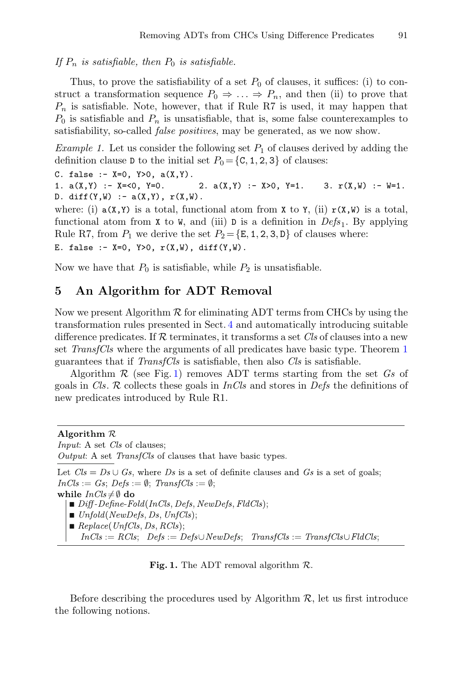If  $P_n$  *is satisfiable, then*  $P_0$  *is satisfiable.* 

Thus, to prove the satisfiability of a set  $P_0$  of clauses, it suffices: (i) to construct a transformation sequence  $P_0 \Rightarrow \dots \Rightarrow P_n$ , and then (ii) to prove that  $P_n$  is satisfiable. Note, however, that if Rule R7 is used, it may happen that  $P_0$  is satisfiable and  $P_n$  is unsatisfiable, that is, some false counterexamples to satisfiability, so-called *false positives*, may be generated, as we now show.

<span id="page-8-2"></span>*Example 1.* Let us consider the following set  $P_1$  of clauses derived by adding the definition clause **D** to the initial set  $P_0 = \{C, 1, 2, 3\}$  of clauses:

```
C. false :- X=0, Y>0, a(X,Y).
```
1.  $a(X,Y)$  :- X=<0, Y=0. 2.  $a(X,Y)$  :- X>0, Y=1. 3.  $r(X,W)$  :- W=1. D. diff(Y,W) :-  $a(X,Y)$ ,  $r(X,W)$ .

where: (i)  $a(X,Y)$  is a total, functional atom from X to Y, (ii)  $r(X,W)$  is a total, functional atom from **x** to **W**, and (iii) **D** is a definition in  $Defs_1$ . By applying Rule R7, from  $P_1$  we derive the set  $P_2 = \{E, 1, 2, 3, D\}$  of clauses where:

E. false :- X=0, Y>0,  $r(X, W)$ , diff(Y,W).

<span id="page-8-0"></span>Now we have that  $P_0$  is satisfiable, while  $P_2$  is unsatisfiable.

### **5 An Algorithm for ADT Removal**

Now we present Algorithm  $R$  for eliminating ADT terms from CHCs by using the transformation rules presented in Sect. [4](#page-6-0) and automatically introducing suitable difference predicates. If R terminates, it transforms a set *Cls* of clauses into a new set *TransfCls* where the arguments of all predicates have basic type. Theorem [1](#page-7-0) guarantees that if *TransfCls* is satisfiable, then also *Cls* is satisfiable.

Algorithm R (see Fig. [1\)](#page-8-1) removes ADT terms starting from the set *Gs* of goals in *Cls*. R collects these goals in *InCls* and stores in *Defs* the definitions of new predicates introduced by Rule R1.

Algorithm  $R$ Input: A set Cls of clauses; *Output*: A set *TransfCls* of clauses that have basic types. Let  $Cls = Ds \cup Gs$ , where Ds is a set of definite clauses and Gs is a set of goals;  $InCls := Gs$ ;  $Defs := \emptyset$ ;  $TransfCls := \emptyset$ ; while  $InCls \neq \emptyset$  do  $\blacksquare$  Diff-Define-Fold(InCls, Defs, NewDefs, FldCls);  $\blacksquare$  Unfold(NewDefs, Ds, UnfCls);  $\blacksquare$  Replace(*UnfCls, Ds, RCls*);  $InCls := RCls;$   $Defs := Defs \cup NewDefs;$   $TransfCls := TransfCls \cup FldCls;$ 

<span id="page-8-1"></span>**Fig. 1.** The ADT removal algorithm <sup>R</sup>.

Before describing the procedures used by Algorithm  $R$ , let us first introduce the following notions.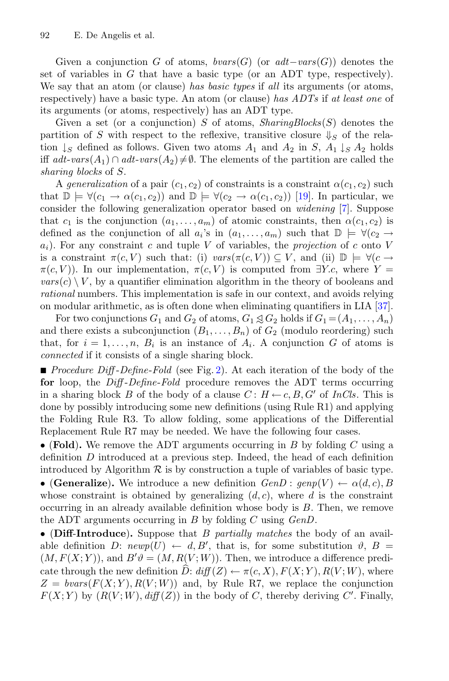Given a conjunction <sup>G</sup> of atoms, *bvars*(G) (or *adt*−*vars*(G)) denotes the set of variables in  $G$  that have a basic type (or an ADT type, respectively). We say that an atom (or clause) *has basic types* if *all* its arguments (or atoms, respectively) have a basic type. An atom (or clause) *has ADTs* if *at least one* of its arguments (or atoms, respectively) has an ADT type.

Given a set (or a conjunction) S of atoms, *SharingBlocks*(S) denotes the partition of S with respect to the reflexive, transitive closure  $\downarrow$ <sub>S</sub> of the relation  $\downarrow$ *s* defined as follows. Given two atoms  $A_1$  and  $A_2$  in  $S$ ,  $A_1 \downarrow_S A_2$  holds iff  $adt\text{-}vars(A_1) \cap adt\text{-}vars(A_2) \neq \emptyset$ . The elements of the partition are called the *sharing blocks* of S.

A *generalization* of a pair  $(c_1, c_2)$  of constraints is a constraint  $\alpha(c_1, c_2)$  such that  $\mathbb{D} \models \forall (c_1 \rightarrow \alpha(c_1, c_2))$  and  $\mathbb{D} \models \forall (c_2 \rightarrow \alpha(c_1, c_2))$  [\[19\]](#page-18-9). In particular, we consider the following generalization operator based on *widening* [\[7\]](#page-17-7). Suppose that  $c_1$  is the conjunction  $(a_1,\ldots,a_m)$  of atomic constraints, then  $\alpha(c_1,c_2)$  is defined as the conjunction of all  $a_i$ 's in  $(a_1,\ldots,a_m)$  such that  $\mathbb{D} \models \forall (c_2 \rightarrow$  $a_i$ ). For any constraint c and tuple V of variables, the *projection* of c onto V is a constraint  $\pi(c, V)$  such that: (i)  $vars(\pi(c, V)) \subseteq V$ , and (ii)  $\mathbb{D} \models \forall (c \rightarrow$  $\pi(c, V)$ ). In our implementation,  $\pi(c, V)$  is computed from  $\exists Y.c$ , where Y  $vars(c) \ V$ , by a quantifier elimination algorithm in the theory of booleans and *rational* numbers. This implementation is safe in our context, and avoids relying on modular arithmetic, as is often done when eliminating quantifiers in LIA [\[37\]](#page-19-5).

For two conjunctions  $G_1$  and  $G_2$  of atoms,  $G_1 \trianglelefteq G_2$  holds if  $G_1 = (A_1, \ldots, A_n)$ <br>there exists a subconjunction  $(B_1 \cup B_2)$  of  $C_1$  (module reordering) such and there exists a subconjunction  $(B_1, \ldots, B_n)$  of  $G_2$  (modulo reordering) such that, for  $i = 1, \ldots, n$ ,  $B_i$  is an instance of  $A_i$ . A conjunction G of atoms is *connected* if it consists of a single sharing block.

■ *Procedure Diff-Define-Fold* (see Fig. [2\)](#page-10-0). At each iteration of the body of the **for** loop, the *Diff* -*Define*-*Fold* procedure removes the ADT terms occurring in a sharing block B of the body of a clause  $C: H \leftarrow c, B, G'$  of *InCls*. This is done by possibly introducing some new definitions (using Rule R1) and applying the Folding Rule R3. To allow folding, some applications of the Differential Replacement Rule R7 may be needed. We have the following four cases.

• (**Fold**)**.** We remove the ADT arguments occurring in <sup>B</sup> by folding <sup>C</sup> using a definition D introduced at a previous step. Indeed, the head of each definition introduced by Algorithm  $R$  is by construction a tuple of variables of basic type.

• (**Generalize**). We introduce a new definition  $GenD : genp(V) \leftarrow \alpha(d, c), B$ whose constraint is obtained by generalizing  $(d, c)$ , where d is the constraint occurring in an already available definition whose body is  $B$ . Then, we remove the ADT arguments occurring in B by folding C using *GenD*.

• (**Diff**-**Introduce**)**.** Suppose that <sup>B</sup> *partially matches* the body of an available definition D:  $newp(U) \leftarrow d, B'$ , that is, for some substitution  $\vartheta$ ,  $B =$  $(M, F(X; Y)),$  and  $B' \vartheta = (M, R(V; W)).$  Then, we introduce a difference predicate through the new definition  $\tilde{D}$ :  $diff(Z) \leftarrow \pi(c, X), F(X; Y), R(V; W)$ , where  $Z = \text{bvars}(F(X; Y), R(V; W))$  and, by Rule R7, we replace the conjunction  $F(X;Y)$  by  $(R(V;W), diff(Z))$  in the body of C, thereby deriving C'. Finally,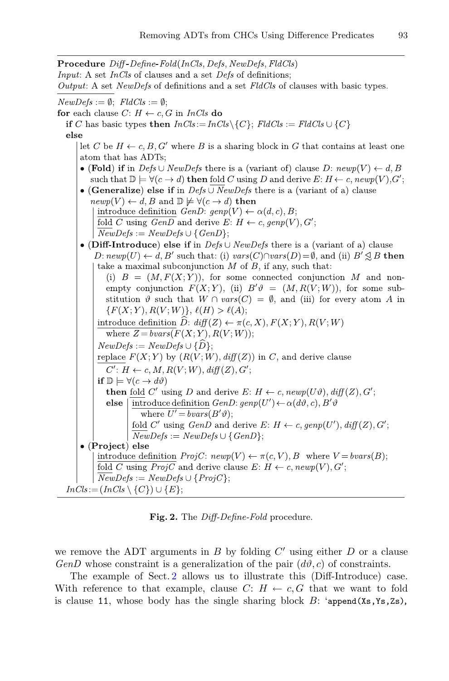**Procedure** Diff-Define-Fold(InCls, Defs, NewDefs, FldCls) *Input:* A set *InCls* of clauses and a set *Defs* of definitions: Output: A set  $NewDefs$  of definitions and a set  $FldCls$  of clauses with basic types.  $NewDefs := \emptyset$ ;  $FldCls := \emptyset$ ; for each clause  $C: H \leftarrow c, G$  in InCls do if C has basic types then  $InCls := InCls \setminus \{C\}$ ;  $FldCls := FldCls \cup \{C\}$ else let C be  $H \leftarrow c, B, G'$  where B is a sharing block in G that contains at least one atom that has ADTs; • (Fold) if in  $Defs \cup NewDefs$  there is a (variant of) clause D:  $newp(V) \leftarrow d, B$ such that  $\mathbb{D} \models \forall (c \rightarrow d)$  then fold C using D and derive  $E: H \leftarrow c$ , newp $(V), G'$ ; • (Generalize) else if in  $\text{Defs} \cup \text{NewDefs}$  there is a (variant of a) clause  $newp(V) \leftarrow d, B$  and  $\mathbb{D} \not\models \forall (c \rightarrow d)$  then introduce definition *GenD*:  $\text{genp}(V) \leftarrow \alpha(d, c), B;$ fold C using GenD and derive E:  $H \leftarrow c$ , genp(V), G';  $NewDefs := NewDefs \cup \{GenD\};$ • (Diff-Introduce) else if in  $\text{Defs} \cup \text{NewDefs}$  there is a (variant of a) clause  $D: newp(U) \leftarrow d, B'$  such that: (i)  $vars(C) \cap vars(D) = \emptyset$ , and (ii)  $B' \leq B$  then take a maximal subconjunction  $M$  of  $B$ , if any, such that: (i)  $B = (M, F(X; Y))$ , for some connected conjunction M and nonempty conjunction  $F(X;Y)$ , (ii)  $B'\vartheta = (M, R(V;W))$ , for some substitution  $\vartheta$  such that  $W \cap vars(C) = \varnothing$ , and (iii) for every atom A in  $\{F(X;Y), R(V;W)\}, \ell(H) > \ell(A);$ introduce definition  $\widehat{D}$ :  $diff(Z) \leftarrow \pi(c, X), F(X; Y), R(V; W)$ where  $Z = \text{bvars}(F(X;Y), R(V;W));$  $NewDefs := NewDefs \cup {\hat{D}};$ replace  $F(X;Y)$  by  $(R(V;W), diff(Z))$  in C, and derive clause  $C'$ :  $H \leftarrow c, M, R(V;W), diff(Z), G';$ if  $\mathbb{D} \models \forall (c \rightarrow d\vartheta)$ **then** fold C' using D and derive E:  $H \leftarrow c$ , newp(Uv),  $diff(Z), G'$ ; introduce definition  $GenD: genp(U') \leftarrow \alpha(d\vartheta, c), B'\vartheta$ else | where  $U' = \text{bvars}(B' \vartheta)$ ; fold C' using  $GenD$  and derive E:  $H \leftarrow c$ ,  $genp(U')$ ,  $diff(Z)$ , G';  $\overline{NewDefs} := NewDefs \cup \{GenD\};$  $\bullet$  (Project) else introduce definition  $ProjC: newp(V) \leftarrow \pi(c, V), B$  where  $V = bvars(B);$ fold C using  $ProjC$  and derive clause  $E: H \leftarrow c, newp(V), G'$ ;  $NewDefs := NewDefs \cup \{ProjC\};$  $InCls := (InCls \setminus \{C\}) \cup \{E\};$ 

<span id="page-10-0"></span>**Fig. 2.** The Diff-Define-Fold procedure.

we remove the ADT arguments in B by folding  $C'$  using either D or a clause *GenD* whose constraint is a generalization of the pair  $(d\vartheta, c)$  of constraints.

The example of Sect. [2](#page-2-0) allows us to illustrate this (Diff-Introduce) case. With reference to that example, clause C:  $H \leftarrow c$ , G that we want to fold is clause 11, whose body has the single sharing block  $B$ : 'append(Xs,Ys,Zs),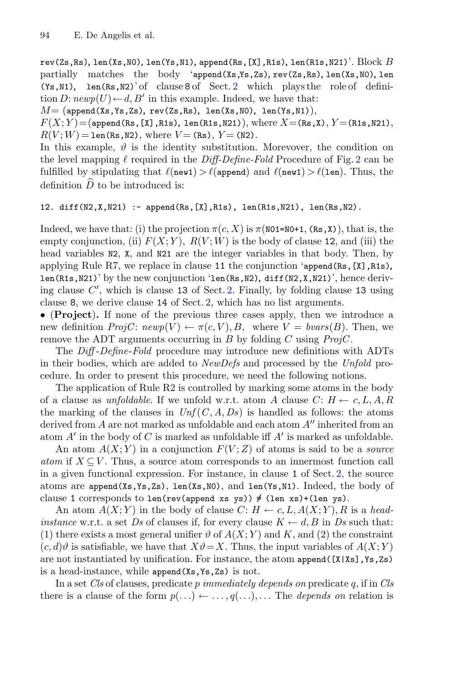rev(Zs,Rs), len(Xs,N0), len(Ys,N1), append(Rs, [X],R1s), len(R1s,N21)'. Block B partially matches the body 'append(Xs,Ys,Zs), rev(Zs,Rs), len(Xs,N0), len  $(Y_s, M1)$ , len $(Rs, M2)'$  $(Rs, M2)'$  $(Rs, M2)'$  of clause 8 of Sect. 2 which plays the role of definition  $D: newp(U) \leftarrow d, B'$  in this example. Indeed, we have that:

 $M=$  (append(Xs,Ys,Zs), rev(Zs,Rs), len(Xs,N0), len(Ys,N1)),

 $F(X; Y) =$ (append(Rs,[X],R1s), len(R1s,N21)), where  $X =$ (Rs,X),  $Y =$ (R1s,N21),  $R(V;W) = \text{len}(Rs,N2)$ , where  $V = (Rs), Y = (N2)$ .

In this example,  $\vartheta$  is the identity substitution. Morevover, the condition on the level mapping  $\ell$  required in the *Diff-Define-Fold* Procedure of Fig. [2](#page-10-0) can be fulfilled by stipulating that  $\ell$ (new1)  $>\ell$ (append) and  $\ell$ (new1)  $>\ell$ (1en). Thus, the definition  $\widehat{D}$  to be introduced is:

#### 12. diff(N2,X,N21) :- append(Rs,[X],R1s), len(R1s,N21), len(Rs,N2).

Indeed, we have that: (i) the projection  $\pi(c, X)$  is  $\pi(N01=N0+1, (Rs, X))$ , that is, the empty conjunction, (ii)  $F(X; Y)$ ,  $R(V; W)$  is the body of clause 12, and (iii) the head variables N<sub>2</sub>, x, and N<sub>21</sub> are the integer variables in that body. Then, by applying Rule R7, we replace in clause 11 the conjunction 'append  $(\mathbb{R}s, [\mathbf{X}], \mathbb{R} \cdot \mathbb{R})$ ,  $len(R1s,N21)'$  by the new conjunction 'len(Rs,N2), diff(N2,X,N21)', hence deriving clause C , which is clause 13 of Sect. [2.](#page-2-0) Finally, by folding clause 13 using clause 8, we derive clause 14 of Sect. [2,](#page-2-0) which has no list arguments.

• (**Project**)**.** If none of the previous three cases apply, then we introduce a new definition  $ProjC: newp(V) \leftarrow \pi(c, V), B$ , where  $V = \text{bvars}(B)$ . Then, we remove the ADT arguments occurring in B by folding C using *ProjC* .

The *Diff* -*Define*-*Fold* procedure may introduce new definitions with ADTs in their bodies, which are added to *NewDefs* and processed by the *Unfold* procedure. In order to present this procedure, we need the following notions.

The application of Rule R2 is controlled by marking some atoms in the body of a clause as *unfoldable*. If we unfold w.r.t. atom A clause C:  $H \leftarrow c, L, A, R$ the marking of the clauses in  $\text{Unf}(C, A, Ds)$  is handled as follows: the atoms derived from A are not marked as unfoldable and each atom  $A''$  inherited from an atom  $A'$  in the body of C is marked as unfoldable iff  $A'$  is marked as unfoldable.

An atom  $A(X; Y)$  in a conjunction  $F(V; Z)$  of atoms is said to be a *source atom* if  $X \subseteq V$ . Thus, a source atom corresponds to an innermost function call in a given functional expression. For instance, in clause 1 of Sect. [2,](#page-2-0) the source atoms are append(Xs,Ys,Zs), len(Xs,N0), and len(Ys,N1). Indeed, the body of clause 1 corresponds to len(rev(append xs ys))  $\neq$  (len xs)+(len ys).

An atom  $A(X;Y)$  in the body of clause  $C: H \leftarrow c, L, A(X;Y), R$  is a *headinstance* w.r.t. a set *Ds* of clauses if, for every clause  $K \leftarrow d$ , B in *Ds* such that: (1) there exists a most general unifier  $\vartheta$  of  $A(X; Y)$  and K, and (2) the constraint  $(c, d)$  is satisfiable, we have that  $X\vartheta = X$ . Thus, the input variables of  $A(X; Y)$ are not instantiated by unification. For instance, the atom append([X|Xs],Ys,Zs) is a head-instance, while append(Xs,Ys,Zs) is not.

In a set *Cls* of clauses, predicate p *immediately depends on* predicate q, if in *Cls* there is a clause of the form  $p(\ldots) \leftarrow \ldots, q(\ldots), \ldots$  The *depends on* relation is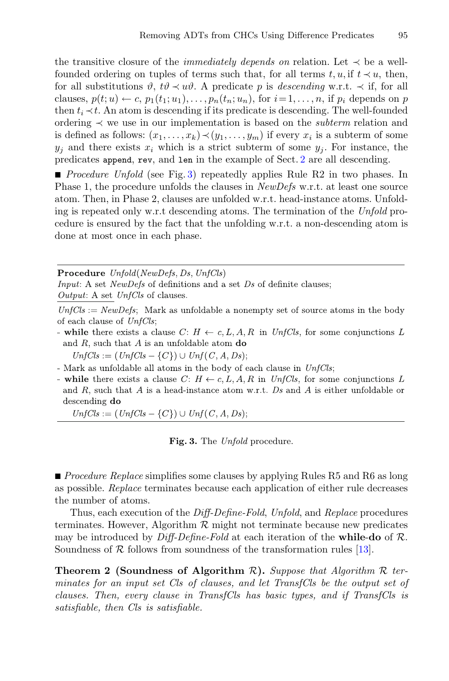the transitive closure of the *immediately depends on* relation. Let  $\prec$  be a wellfounded ordering on tuples of terms such that, for all terms  $t, u$ , if  $t \prec u$ , then, for all substitutions  $\vartheta$ ,  $t\vartheta \prec u\vartheta$ . A predicate p is *descending* w.r.t.  $\prec$  if, for all clauses,  $p(t; u) \leftarrow c$ ,  $p_1(t_1; u_1), \ldots, p_n(t_n; u_n)$ , for  $i = 1, \ldots, n$ , if  $p_i$  depends on p then  $t_i \prec t$ . An atom is descending if its predicate is descending. The well-founded ordering ≺ we use in our implementation is based on the *subterm* relation and is defined as follows:  $(x_1, \ldots, x_k) \prec (y_1, \ldots, y_m)$  if every  $x_i$  is a subterm of some  $y_j$  and there exists  $x_i$  which is a strict subterm of some  $y_j$ . For instance, the predicates append, rev, and len in the example of Sect. [2](#page-2-0) are all descending.

**P** *Procedure Unfold* (see Fig. [3\)](#page-12-0) repeatedly applies Rule R2 in two phases. In Phase 1, the procedure unfolds the clauses in *NewDefs* w.r.t. at least one source atom. Then, in Phase 2, clauses are unfolded w.r.t. head-instance atoms. Unfolding is repeated only w.r.t descending atoms. The termination of the *Unfold* procedure is ensured by the fact that the unfolding w.r.t. a non-descending atom is done at most once in each phase.

**Procedure** Unfold(NewDefs, Ds, UnfCls)

*Input:* A set *NewDefs* of definitions and a set  $Ds$  of definite clauses;

*Output:* A set *UnfCls* of clauses.

 $UnfCls := NewDefs$ ; Mark as unfoldable a nonempty set of source atoms in the body of each clause of  $UnfCls$ ;

- while there exists a clause C:  $H \leftarrow c, L, A, R$  in UnfCls, for some conjunctions L and  $R$ , such that  $A$  is an unfoldable atom  $\bf{do}$ 

 $UnfCls := (UnfCls - \{C\}) \cup Unf(C, A, Ds);$ 

- Mark as unfoldable all atoms in the body of each clause in  $UnfCls$ ;
- while there exists a clause C:  $H \leftarrow c, L, A, R$  in UnfCls, for some conjunctions L and R, such that A is a head-instance atom w.r.t. Ds and A is either unfoldable or descending do

 $UnfCls := (UnfCls - \{C\}) \cup Unf(C, A, Ds);$ 

<span id="page-12-0"></span>**Fig. 3.** The Unfold procedure.

**Procedure Replace simplifies some clauses by applying Rules R5 and R6 as long** as possible. *Replace* terminates because each application of either rule decreases the number of atoms.

Thus, each execution of the *Diff-Define-Fold*, *Unfold*, and *Replace* procedures terminates. However, Algorithm  $R$  might not terminate because new predicates may be introduced by *Diff-Define-Fold* at each iteration of the **while**-**do** of R. Soundness of  $R$  follows from soundness of the transformation rules [\[13\]](#page-17-6).

**Theorem 2 (Soundness of Algorithm** R**).** *Suppose that Algorithm* R *terminates for an input set Cls of clauses, and let TransfCls be the output set of clauses. Then, every clause in TransfCls has basic types, and if TransfCls is satisfiable, then Cls is satisfiable.*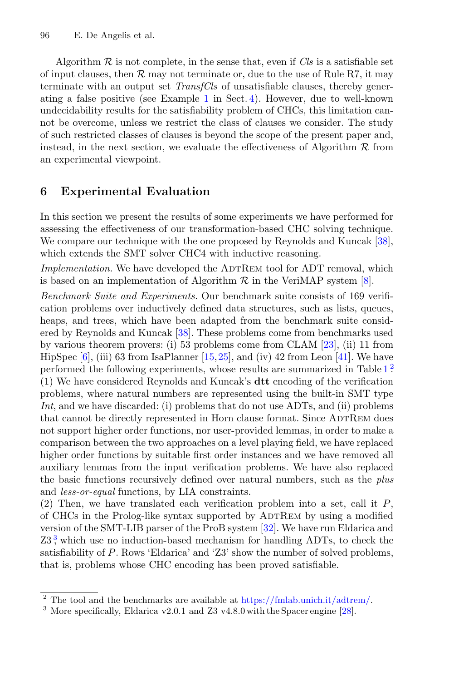Algorithm  $\mathcal R$  is not complete, in the sense that, even if *Cls* is a satisfiable set of input clauses, then  $\mathcal R$  may not terminate or, due to the use of Rule R7, it may terminate with an output set *TransfCls* of unsatisfiable clauses, thereby generating a false positive (see Example [1](#page-8-2) in Sect. [4\)](#page-6-0). However, due to well-known undecidability results for the satisfiability problem of CHCs, this limitation cannot be overcome, unless we restrict the class of clauses we consider. The study of such restricted classes of clauses is beyond the scope of the present paper and, instead, in the next section, we evaluate the effectiveness of Algorithm  $\mathcal R$  from an experimental viewpoint.

## <span id="page-13-0"></span>**6 Experimental Evaluation**

In this section we present the results of some experiments we have performed for assessing the effectiveness of our transformation-based CHC solving technique. We compare our technique with the one proposed by Reynolds and Kuncak [\[38\]](#page-19-0), which extends the SMT solver CHC4 with inductive reasoning.

*Implementation*. We have developed the ADTREM tool for ADT removal, which is based on an implementation of Algorithm  $\mathcal R$  in the VeriMAP system [\[8\]](#page-17-8).

*Benchmark Suite and Experiments.* Our benchmark suite consists of 169 verification problems over inductively defined data structures, such as lists, queues, heaps, and trees, which have been adapted from the benchmark suite considered by Reynolds and Kuncak [\[38](#page-19-0)]. These problems come from benchmarks used by various theorem provers: (i) 53 problems come from CLAM [\[23\]](#page-18-10), (ii) 11 from HipSpec  $[6]$ , (iii) 63 from IsaPlanner [\[15,](#page-17-10)[25\]](#page-18-11), and (iv) 42 from Leon [\[41\]](#page-19-6). We have performed the following experiments, whose results are summarized in Table [1](#page-14-0)? (1) We have considered Reynolds and Kuncak's **dtt** encoding of the verification problems, where natural numbers are represented using the built-in SMT type *Int*, and we have discarded: (i) problems that do not use ADTs, and (ii) problems that cannot be directly represented in Horn clause format. Since ADTREM does not support higher order functions, nor user-provided lemmas, in order to make a comparison between the two approaches on a level playing field, we have replaced higher order functions by suitable first order instances and we have removed all auxiliary lemmas from the input verification problems. We have also replaced the basic functions recursively defined over natural numbers, such as the *plus* and *less-or-equal* functions, by LIA constraints.

(2) Then, we have translated each verification problem into a set, call it  $P$ , of CHCs in the Prolog-like syntax supported by ADTREM by using a modified version of the SMT-LIB parser of the ProB system [\[32\]](#page-18-12). We have run Eldarica and  $Z3<sup>3</sup>$ [,](#page-13-2) which use no induction-based mechanism for handling ADTs, to check the satisfiability of P. Rows 'Eldarica' and 'Z3' show the number of solved problems, that is, problems whose CHC encoding has been proved satisfiable.

<span id="page-13-1"></span><sup>&</sup>lt;sup>2</sup> The tool and the benchmarks are available at [https://fmlab.unich.it/adtrem/.](https://fmlab.unich.it/adtrem/)

<span id="page-13-2"></span><sup>&</sup>lt;sup>3</sup> More specifically, Eldarica v2.0.1 and Z3 v4.8.0 with the Spacer engine [\[28](#page-18-13)].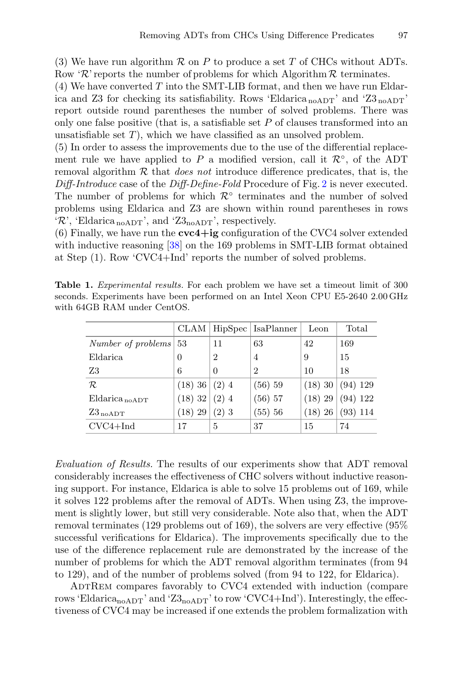(3) We have run algorithm  $\mathcal R$  on P to produce a set T of CHCs without ADTs. Row ' $\mathcal{R}$ ' reports the number of problems for which Algorithm  $\mathcal{R}$  terminates.

 $(4)$  We have converted T into the SMT-LIB format, and then we have run Eldarica and Z3 for checking its satisfiability. Rows 'Eldarica  $_{\text{noADT}}$ ' and 'Z3 $_{\text{noADT}}$ ' report outside round parentheses the number of solved problems. There was only one false positive (that is, a satisfiable set  $P$  of clauses transformed into an unsatisfiable set  $T$ ), which we have classified as an unsolved problem.

(5) In order to assess the improvements due to the use of the differential replacement rule we have applied to P a modified version, call it  $\mathcal{R}^{\circ}$ , of the ADT removal algorithm R that *does not* introduce difference predicates, that is, the *Diff-Introduce* case of the *Diff-Define-Fold* Procedure of Fig. [2](#page-10-0) is never executed. The number of problems for which  $\mathcal{R}^{\circ}$  terminates and the number of solved problems using Eldarica and Z3 are shown within round parentheses in rows  $\mathcal{R}'$ , 'Eldarica <sub>noADT</sub>', and 'Z3<sub>noADT</sub>', respectively.

(6) Finally, we have run the **cvc4+ig** configuration of the CVC4 solver extended with inductive reasoning  $[38]$  on the 169 problems in SMT-LIB format obtained at Step (1). Row 'CVC4+Ind' reports the number of solved problems.

<span id="page-14-0"></span>**Table 1.** Experimental results. For each problem we have set a timeout limit of 300 seconds. Experiments have been performed on an Intel Xeon CPU E5-2640 2.00 GHz with 64GB RAM under CentOS.

|                           | CLAM      |                | HipSpec   IsaPlanner | Leon      | Total      |
|---------------------------|-----------|----------------|----------------------|-----------|------------|
| Number of problems        | 53        | 11             | 63                   | 42        | 169        |
| Eldarica                  | 0         | $\overline{2}$ | $\overline{4}$       | 9         | 15         |
| Z3                        | 6         | $\Omega$       | $\overline{2}$       | 10        | 18         |
| $\mathcal R$              | (18)36    | $(2)$ 4        | (56) 59              | (18)30    | $(94)$ 129 |
| Eldarica <sub>noADT</sub> | $(18)$ 32 | $(2)$ 4        | (56) 57              | (18) 29   | $(94)$ 122 |
| $Z3_{\text{noADT}}$       | (18)29    | $(2)$ 3        | (55) 56              | $(18)$ 26 | $(93)$ 114 |
| $CVC4+Ind$                | 17        | 5              | 37                   | 15        | 74         |

*Evaluation of Results.* The results of our experiments show that ADT removal considerably increases the effectiveness of CHC solvers without inductive reasoning support. For instance, Eldarica is able to solve 15 problems out of 169, while it solves 122 problems after the removal of ADTs. When using Z3, the improvement is slightly lower, but still very considerable. Note also that, when the ADT removal terminates (129 problems out of 169), the solvers are very effective (95% successful verifications for Eldarica). The improvements specifically due to the use of the difference replacement rule are demonstrated by the increase of the number of problems for which the ADT removal algorithm terminates (from 94 to 129), and of the number of problems solved (from 94 to 122, for Eldarica).

ADTREM compares favorably to CVC4 extended with induction (compare) rows 'Eldarica<sub>noADT</sub>' and 'Z3<sub>noADT</sub>' to row 'CVC4+Ind'). Interestingly, the effectiveness of CVC4 may be increased if one extends the problem formalization with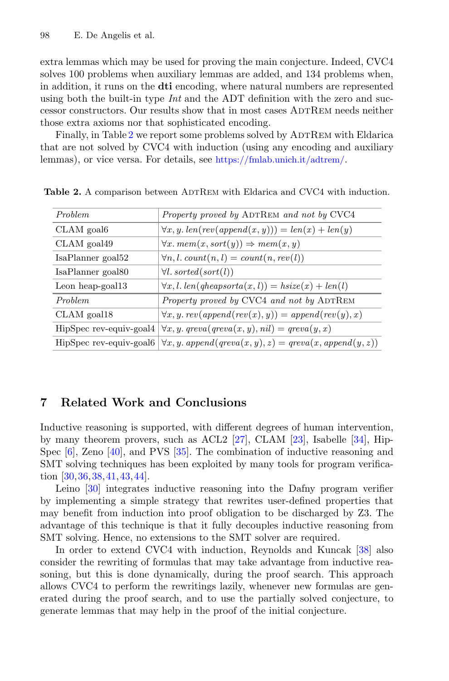extra lemmas which may be used for proving the main conjecture. Indeed, CVC4 solves 100 problems when auxiliary lemmas are added, and 134 problems when, in addition, it runs on the **dti** encoding, where natural numbers are represented using both the built-in type *Int* and the ADT definition with the zero and successor constructors. Our results show that in most cases ADTREM needs neither those extra axioms nor that sophisticated encoding.

Finally, in Table [2](#page-15-1) we report some problems solved by  $ADTREM$  with Eldarica that are not solved by CVC4 with induction (using any encoding and auxiliary lemmas), or vice versa. For details, see <https://fmlab.unich.it/adtrem/>.

<span id="page-15-1"></span>

| <i>Problem</i>                | Property proved by ADTREM and not by CVC4                            |  |
|-------------------------------|----------------------------------------------------------------------|--|
| CLAM goal <sub>6</sub>        | $\forall x, y. \ len(rev(append(x, y))) = len(x) + len(y)$           |  |
| $CLAM$ goal49                 | $\forall x. \, mem(x, sort(y)) \Rightarrow mem(x, y)$                |  |
| IsaPlanner goal52             | $\forall n, l. \text{ count}(n, l) = \text{count}(n, \text{rev}(l))$ |  |
| IsaPlanner goal <sub>80</sub> | $\forall l. sorted(sort(l))$                                         |  |
| Leon heap-goal13              | $\forall x, l. len(qheapsorta(x, l)) = hsize(x) + len(l)$            |  |
| <i>Problem</i>                | Property proved by CVC4 and not by ADTREM                            |  |
| CLAM goal18                   | $\forall x, y. \text{rev}(append(rev(x), y)) = append(rev(y), x)$    |  |
| HipSpec rev-equiv-goal4       | $\forall x, y.$ qreva $(qreva(x, y), nil) = qreva(y, x)$             |  |
| HipSpec rev-equiv-goal6       | $\forall x, y.$ append(qreva(x, y), z) = qreva(x, append(y, z))      |  |

**Table 2.** A comparison between ADTREM with Eldarica and CVC4 with induction.

## <span id="page-15-0"></span>**7 Related Work and Conclusions**

Inductive reasoning is supported, with different degrees of human intervention, by many theorem provers, such as ACL2 [\[27\]](#page-18-14), CLAM [\[23\]](#page-18-10), Isabelle [\[34](#page-19-7)], Hip-Spec  $[6]$ , Zeno  $[40]$  $[40]$ , and PVS  $[35]$  $[35]$ . The combination of inductive reasoning and SMT solving techniques has been exploited by many tools for program verification [\[30,](#page-18-15)[36](#page-19-10)[,38](#page-19-0),[41,](#page-19-6)[43,](#page-19-1)[44](#page-19-2)].

Leino [\[30\]](#page-18-15) integrates inductive reasoning into the Dafny program verifier by implementing a simple strategy that rewrites user-defined properties that may benefit from induction into proof obligation to be discharged by Z3. The advantage of this technique is that it fully decouples inductive reasoning from SMT solving. Hence, no extensions to the SMT solver are required.

In order to extend CVC4 with induction, Reynolds and Kuncak [\[38](#page-19-0)] also consider the rewriting of formulas that may take advantage from inductive reasoning, but this is done dynamically, during the proof search. This approach allows CVC4 to perform the rewritings lazily, whenever new formulas are generated during the proof search, and to use the partially solved conjecture, to generate lemmas that may help in the proof of the initial conjecture.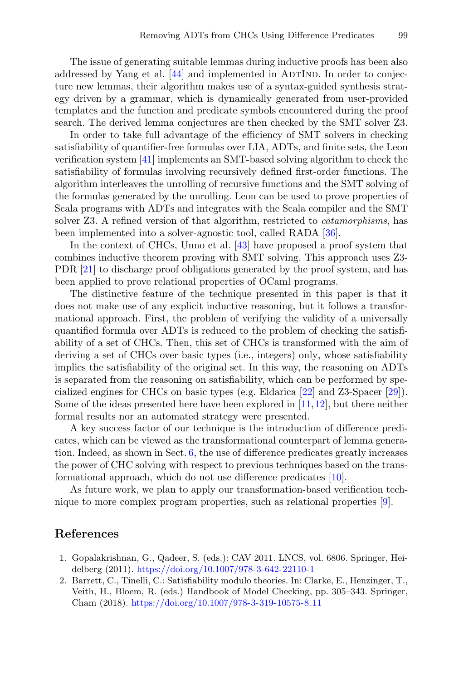The issue of generating suitable lemmas during inductive proofs has been also addressed by Yang et al.  $[44]$  and implemented in ADTIND. In order to conjecture new lemmas, their algorithm makes use of a syntax-guided synthesis strategy driven by a grammar, which is dynamically generated from user-provided templates and the function and predicate symbols encountered during the proof search. The derived lemma conjectures are then checked by the SMT solver Z3.

In order to take full advantage of the efficiency of SMT solvers in checking satisfiability of quantifier-free formulas over LIA, ADTs, and finite sets, the Leon verification system [\[41](#page-19-6)] implements an SMT-based solving algorithm to check the satisfiability of formulas involving recursively defined first-order functions. The algorithm interleaves the unrolling of recursive functions and the SMT solving of the formulas generated by the unrolling. Leon can be used to prove properties of Scala programs with ADTs and integrates with the Scala compiler and the SMT solver Z3. A refined version of that algorithm, restricted to *catamorphisms*, has been implemented into a solver-agnostic tool, called RADA [\[36](#page-19-10)].

In the context of CHCs, Unno et al. [\[43](#page-19-1)] have proposed a proof system that combines inductive theorem proving with SMT solving. This approach uses Z3- PDR [\[21](#page-18-16)] to discharge proof obligations generated by the proof system, and has been applied to prove relational properties of OCaml programs.

The distinctive feature of the technique presented in this paper is that it does not make use of any explicit inductive reasoning, but it follows a transformational approach. First, the problem of verifying the validity of a universally quantified formula over ADTs is reduced to the problem of checking the satisfiability of a set of CHCs. Then, this set of CHCs is transformed with the aim of deriving a set of CHCs over basic types (i.e., integers) only, whose satisfiability implies the satisfiability of the original set. In this way, the reasoning on ADTs is separated from the reasoning on satisfiability, which can be performed by specialized engines for CHCs on basic types (e.g. Eldarica [\[22\]](#page-18-0) and Z3-Spacer [\[29\]](#page-18-3)). Some of the ideas presented here have been explored in  $[11,12]$  $[11,12]$  $[11,12]$ , but there neither formal results nor an automated strategy were presented.

A key success factor of our technique is the introduction of difference predicates, which can be viewed as the transformational counterpart of lemma generation. Indeed, as shown in Sect. [6,](#page-13-0) the use of difference predicates greatly increases the power of CHC solving with respect to previous techniques based on the transformational approach, which do not use difference predicates [\[10](#page-17-4)].

As future work, we plan to apply our transformation-based verification technique to more complex program properties, such as relational properties [\[9\]](#page-17-13).

#### **References**

- <span id="page-16-1"></span>1. Gopalakrishnan, G., Qadeer, S. (eds.): CAV 2011. LNCS, vol. 6806. Springer, Heidelberg (2011). <https://doi.org/10.1007/978-3-642-22110-1>
- <span id="page-16-0"></span>2. Barrett, C., Tinelli, C.: Satisfiability modulo theories. In: Clarke, E., Henzinger, T., Veith, H., Bloem, R. (eds.) Handbook of Model Checking, pp. 305–343. Springer, Cham (2018). [https://doi.org/10.1007/978-3-319-10575-8](https://doi.org/10.1007/978-3-319-10575-8_11) 11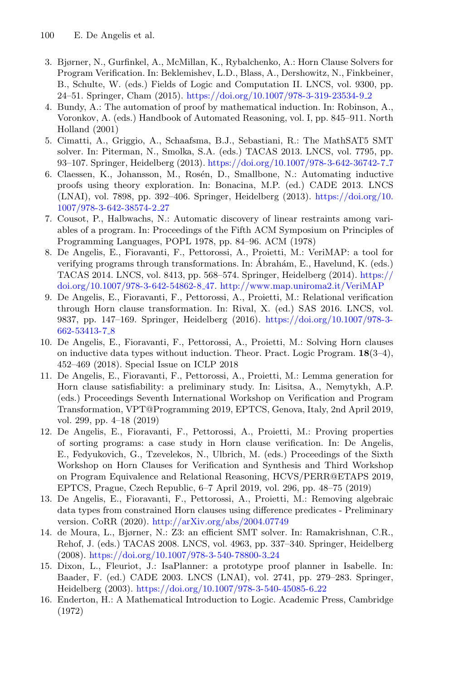- <span id="page-17-0"></span>3. Bjørner, N., Gurfinkel, A., McMillan, K., Rybalchenko, A.: Horn Clause Solvers for Program Verification. In: Beklemishev, L.D., Blass, A., Dershowitz, N., Finkbeiner, B., Schulte, W. (eds.) Fields of Logic and Computation II. LNCS, vol. 9300, pp. 24–51. Springer, Cham (2015). [https://doi.org/10.1007/978-3-319-23534-9](https://doi.org/10.1007/978-3-319-23534-9_2) 2
- <span id="page-17-3"></span>4. Bundy, A.: The automation of proof by mathematical induction. In: Robinson, A., Voronkov, A. (eds.) Handbook of Automated Reasoning, vol. I, pp. 845–911. North Holland (2001)
- <span id="page-17-1"></span>5. Cimatti, A., Griggio, A., Schaafsma, B.J., Sebastiani, R.: The MathSAT5 SMT solver. In: Piterman, N., Smolka, S.A. (eds.) TACAS 2013. LNCS, vol. 7795, pp. 93–107. Springer, Heidelberg (2013). [https://doi.org/10.1007/978-3-642-36742-7](https://doi.org/10.1007/978-3-642-36742-7_7) 7
- <span id="page-17-9"></span>6. Claessen, K., Johansson, M., Rosén, D., Smallbone, N.: Automating inductive proofs using theory exploration. In: Bonacina, M.P. (ed.) CADE 2013. LNCS (LNAI), vol. 7898, pp. 392–406. Springer, Heidelberg (2013). [https://doi.org/10.](https://doi.org/10.1007/978-3-642-38574-2_27) [1007/978-3-642-38574-2](https://doi.org/10.1007/978-3-642-38574-2_27) 27
- <span id="page-17-7"></span>7. Cousot, P., Halbwachs, N.: Automatic discovery of linear restraints among variables of a program. In: Proceedings of the Fifth ACM Symposium on Principles of Programming Languages, POPL 1978, pp. 84–96. ACM (1978)
- <span id="page-17-8"></span>8. De Angelis, E., Fioravanti, F., Pettorossi, A., Proietti, M.: VeriMAP: a tool for verifying programs through transformations. In: Ábrahám, E., Havelund, K. (eds.) TACAS 2014. LNCS, vol. 8413, pp. 568–574. Springer, Heidelberg (2014). [https://](https://doi.org/10.1007/978-3-642-54862-8_47) [doi.org/10.1007/978-3-642-54862-8](https://doi.org/10.1007/978-3-642-54862-8_47) 47. <http://www.map.uniroma2.it/VeriMAP>
- <span id="page-17-13"></span>9. De Angelis, E., Fioravanti, F., Pettorossi, A., Proietti, M.: Relational verification through Horn clause transformation. In: Rival, X. (ed.) SAS 2016. LNCS, vol. 9837, pp. 147–169. Springer, Heidelberg (2016). [https://doi.org/10.1007/978-3-](https://doi.org/10.1007/978-3-662-53413-7_8) [662-53413-7](https://doi.org/10.1007/978-3-662-53413-7_8) 8
- <span id="page-17-4"></span>10. De Angelis, E., Fioravanti, F., Pettorossi, A., Proietti, M.: Solving Horn clauses on inductive data types without induction. Theor. Pract. Logic Program. **18**(3–4), 452–469 (2018). Special Issue on ICLP 2018
- <span id="page-17-11"></span>11. De Angelis, E., Fioravanti, F., Pettorossi, A., Proietti, M.: Lemma generation for Horn clause satisfiability: a preliminary study. In: Lisitsa, A., Nemytykh, A.P. (eds.) Proceedings Seventh International Workshop on Verification and Program Transformation, VPT@Programming 2019, EPTCS, Genova, Italy, 2nd April 2019, vol. 299, pp. 4–18 (2019)
- <span id="page-17-12"></span>12. De Angelis, E., Fioravanti, F., Pettorossi, A., Proietti, M.: Proving properties of sorting programs: a case study in Horn clause verification. In: De Angelis, E., Fedyukovich, G., Tzevelekos, N., Ulbrich, M. (eds.) Proceedings of the Sixth Workshop on Horn Clauses for Verification and Synthesis and Third Workshop on Program Equivalence and Relational Reasoning, HCVS/PERR@ETAPS 2019, EPTCS, Prague, Czech Republic, 6–7 April 2019, vol. 296, pp. 48–75 (2019)
- <span id="page-17-6"></span>13. De Angelis, E., Fioravanti, F., Pettorossi, A., Proietti, M.: Removing algebraic data types from constrained Horn clauses using difference predicates - Preliminary version. CoRR (2020). <http://arXiv.org/abs/2004.07749>
- <span id="page-17-2"></span>14. de Moura, L., Bjørner, N.: Z3: an efficient SMT solver. In: Ramakrishnan, C.R., Rehof, J. (eds.) TACAS 2008. LNCS, vol. 4963, pp. 337–340. Springer, Heidelberg (2008). [https://doi.org/10.1007/978-3-540-78800-3](https://doi.org/10.1007/978-3-540-78800-3_24) 24
- <span id="page-17-10"></span>15. Dixon, L., Fleuriot, J.: IsaPlanner: a prototype proof planner in Isabelle. In: Baader, F. (ed.) CADE 2003. LNCS (LNAI), vol. 2741, pp. 279–283. Springer, Heidelberg (2003). [https://doi.org/10.1007/978-3-540-45085-6](https://doi.org/10.1007/978-3-540-45085-6_22) 22
- <span id="page-17-5"></span>16. Enderton, H.: A Mathematical Introduction to Logic. Academic Press, Cambridge (1972)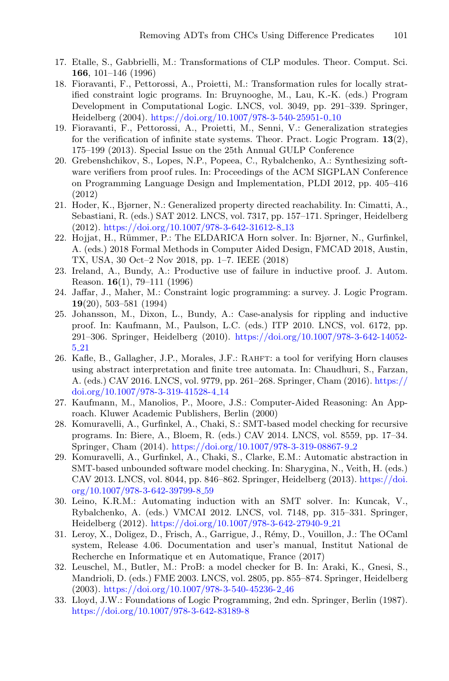- <span id="page-18-4"></span>17. Etalle, S., Gabbrielli, M.: Transformations of CLP modules. Theor. Comput. Sci.
- <span id="page-18-8"></span>**166**, 101–146 (1996) 18. Fioravanti, F., Pettorossi, A., Proietti, M.: Transformation rules for locally stratified constraint logic programs. In: Bruynooghe, M., Lau, K.-K. (eds.) Program Development in Computational Logic. LNCS, vol. 3049, pp. 291–339. Springer, Heidelberg (2004). [https://doi.org/10.1007/978-3-540-25951-0](https://doi.org/10.1007/978-3-540-25951-0_10)<sub>-10</sub>
- <span id="page-18-9"></span>19. Fioravanti, F., Pettorossi, A., Proietti, M., Senni, V.: Generalization strategies for the verification of infinite state systems. Theor. Pract. Logic Program. **13**(2), 175–199 (2013). Special Issue on the 25th Annual GULP Conference
- <span id="page-18-1"></span>20. Grebenshchikov, S., Lopes, N.P., Popeea, C., Rybalchenko, A.: Synthesizing software verifiers from proof rules. In: Proceedings of the ACM SIGPLAN Conference on Programming Language Design and Implementation, PLDI 2012, pp. 405–416 (2012)
- <span id="page-18-16"></span>21. Hoder, K., Bjørner, N.: Generalized property directed reachability. In: Cimatti, A., Sebastiani, R. (eds.) SAT 2012. LNCS, vol. 7317, pp. 157–171. Springer, Heidelberg (2012). [https://doi.org/10.1007/978-3-642-31612-8](https://doi.org/10.1007/978-3-642-31612-8_13) 13
- <span id="page-18-0"></span>22. Hojjat, H., Rümmer, P.: The ELDARICA Horn solver. In: Bjørner, N., Gurfinkel, A. (eds.) 2018 Formal Methods in Computer Aided Design, FMCAD 2018, Austin, TX, USA, 30 Oct–2 Nov 2018, pp. 1–7. IEEE (2018)
- <span id="page-18-10"></span>23. Ireland, A., Bundy, A.: Productive use of failure in inductive proof. J. Autom. Reason. **16**(1), 79–111 (1996)
- <span id="page-18-6"></span>24. Jaffar, J., Maher, M.: Constraint logic programming: a survey. J. Logic Program. **19**(20), 503–581 (1994)
- <span id="page-18-11"></span>25. Johansson, M., Dixon, L., Bundy, A.: Case-analysis for rippling and inductive proof. In: Kaufmann, M., Paulson, L.C. (eds.) ITP 2010. LNCS, vol. 6172, pp. 291–306. Springer, Heidelberg (2010). [https://doi.org/10.1007/978-3-642-14052-](https://doi.org/10.1007/978-3-642-14052-5_21) 5 [21](https://doi.org/10.1007/978-3-642-14052-5_21)
- <span id="page-18-2"></span>26. Kafle, B., Gallagher, J.P., Morales, J.F.: Rahft: a tool for verifying Horn clauses using abstract interpretation and finite tree automata. In: Chaudhuri, S., Farzan, A. (eds.) CAV 2016. LNCS, vol. 9779, pp. 261–268. Springer, Cham (2016). [https://](https://doi.org/10.1007/978-3-319-41528-4_14) [doi.org/10.1007/978-3-319-41528-4](https://doi.org/10.1007/978-3-319-41528-4_14) 14
- <span id="page-18-14"></span>27. Kaufmann, M., Manolios, P., Moore, J.S.: Computer-Aided Reasoning: An Approach. Kluwer Academic Publishers, Berlin (2000)
- <span id="page-18-13"></span>28. Komuravelli, A., Gurfinkel, A., Chaki, S.: SMT-based model checking for recursive programs. In: Biere, A., Bloem, R. (eds.) CAV 2014. LNCS, vol. 8559, pp. 17–34. Springer, Cham (2014). [https://doi.org/10.1007/978-3-319-08867-9](https://doi.org/10.1007/978-3-319-08867-9_2) 2
- <span id="page-18-3"></span>29. Komuravelli, A., Gurfinkel, A., Chaki, S., Clarke, E.M.: Automatic abstraction in SMT-based unbounded software model checking. In: Sharygina, N., Veith, H. (eds.) CAV 2013. LNCS, vol. 8044, pp. 846–862. Springer, Heidelberg (2013). [https://doi.](https://doi.org/10.1007/978-3-642-39799-8_59) [org/10.1007/978-3-642-39799-8](https://doi.org/10.1007/978-3-642-39799-8_59) 59
- <span id="page-18-15"></span>30. Leino, K.R.M.: Automating induction with an SMT solver. In: Kuncak, V., Rybalchenko, A. (eds.) VMCAI 2012. LNCS, vol. 7148, pp. 315–331. Springer, Heidelberg (2012). [https://doi.org/10.1007/978-3-642-27940-9](https://doi.org/10.1007/978-3-642-27940-9_21) 21
- <span id="page-18-5"></span>31. Leroy, X., Doligez, D., Frisch, A., Garrigue, J., R´emy, D., Vouillon, J.: The OCaml system, Release 4.06. Documentation and user's manual, Institut National de Recherche en Informatique et en Automatique, France (2017)
- <span id="page-18-12"></span>32. Leuschel, M., Butler, M.: ProB: a model checker for B. In: Araki, K., Gnesi, S., Mandrioli, D. (eds.) FME 2003. LNCS, vol. 2805, pp. 855–874. Springer, Heidelberg (2003). [https://doi.org/10.1007/978-3-540-45236-2](https://doi.org/10.1007/978-3-540-45236-2_46) 46
- <span id="page-18-7"></span>33. Lloyd, J.W.: Foundations of Logic Programming, 2nd edn. Springer, Berlin (1987). <https://doi.org/10.1007/978-3-642-83189-8>